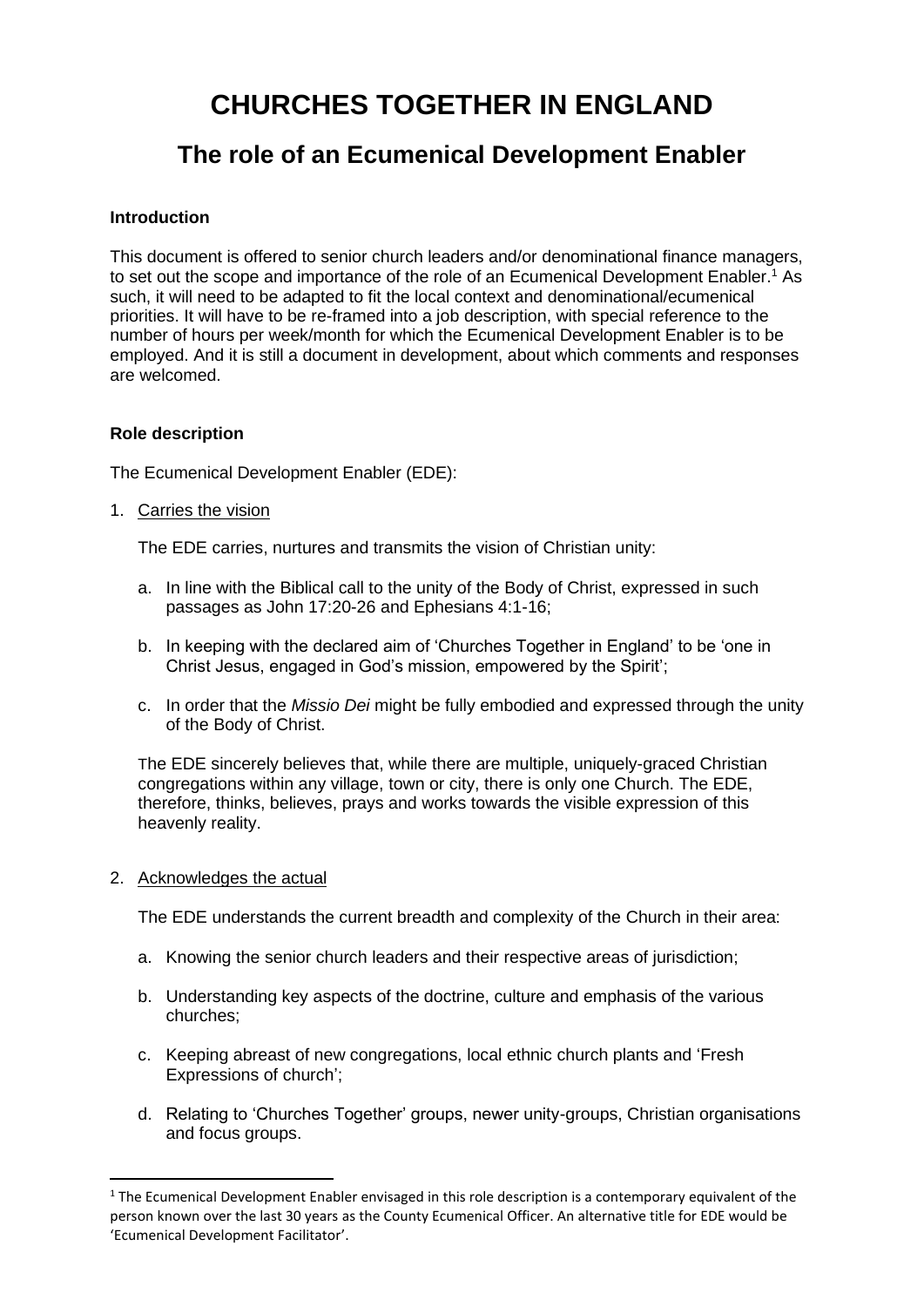# **CHURCHES TOGETHER IN ENGLAND**

# **The role of an Ecumenical Development Enabler**

#### **Introduction**

This document is offered to senior church leaders and/or denominational finance managers, to set out the scope and importance of the role of an Ecumenical Development Enabler.<sup>1</sup> As such, it will need to be adapted to fit the local context and denominational/ecumenical priorities. It will have to be re-framed into a job description, with special reference to the number of hours per week/month for which the Ecumenical Development Enabler is to be employed. And it is still a document in development, about which comments and responses are welcomed.

## **Role description**

The Ecumenical Development Enabler (EDE):

## 1. Carries the vision

The EDE carries, nurtures and transmits the vision of Christian unity:

- a. In line with the Biblical call to the unity of the Body of Christ, expressed in such passages as John 17:20-26 and Ephesians 4:1-16;
- b. In keeping with the declared aim of 'Churches Together in England' to be 'one in Christ Jesus, engaged in God's mission, empowered by the Spirit';
- c. In order that the *Missio Dei* might be fully embodied and expressed through the unity of the Body of Christ.

The EDE sincerely believes that, while there are multiple, uniquely-graced Christian congregations within any village, town or city, there is only one Church. The EDE, therefore, thinks, believes, prays and works towards the visible expression of this heavenly reality.

#### 2. Acknowledges the actual

The EDE understands the current breadth and complexity of the Church in their area:

- a. Knowing the senior church leaders and their respective areas of jurisdiction;
- b. Understanding key aspects of the doctrine, culture and emphasis of the various churches;
- c. Keeping abreast of new congregations, local ethnic church plants and 'Fresh Expressions of church';
- d. Relating to 'Churches Together' groups, newer unity-groups, Christian organisations and focus groups.

<sup>&</sup>lt;sup>1</sup> The Ecumenical Development Enabler envisaged in this role description is a contemporary equivalent of the person known over the last 30 years as the County Ecumenical Officer. An alternative title for EDE would be 'Ecumenical Development Facilitator'.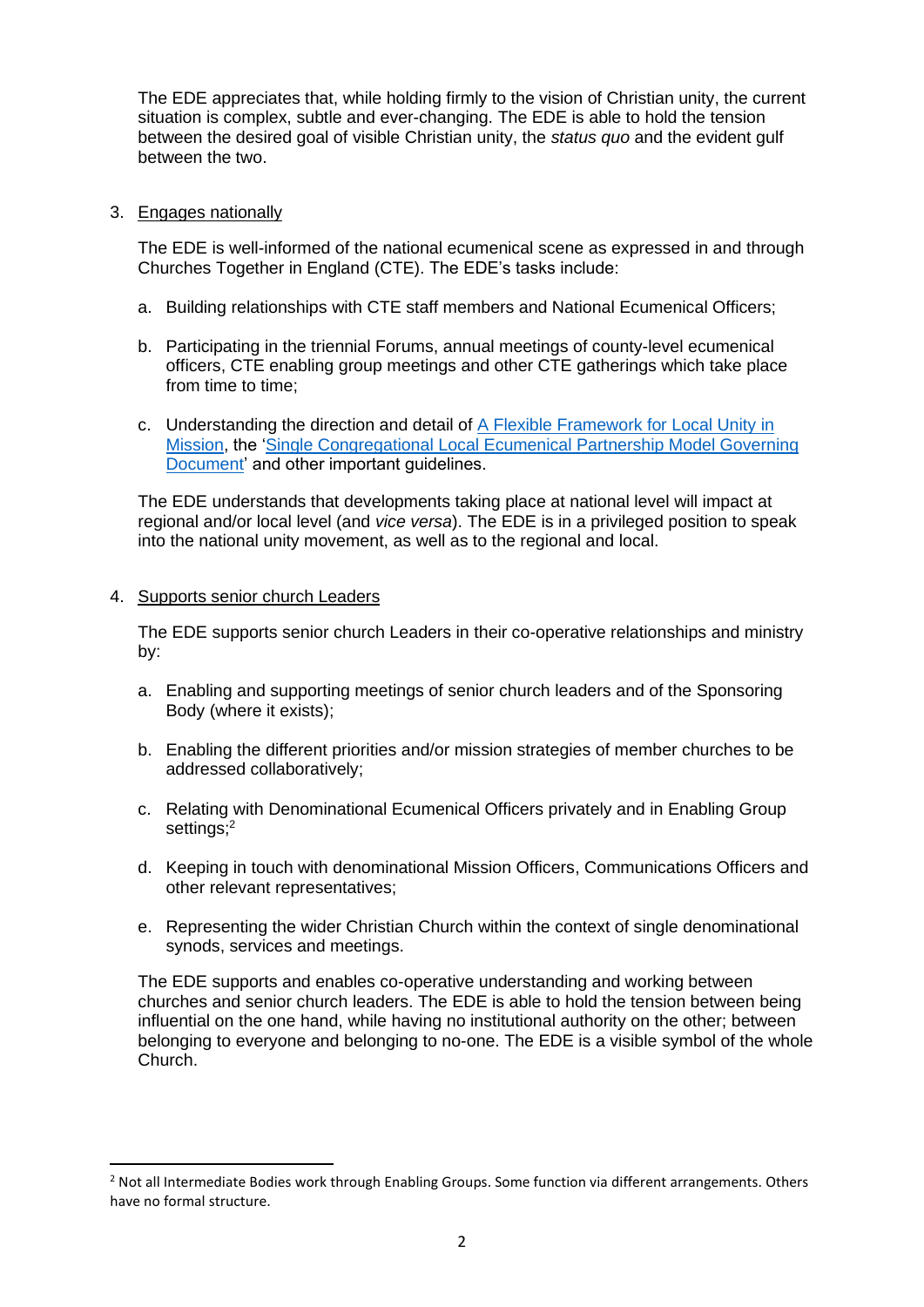The EDE appreciates that, while holding firmly to the vision of Christian unity, the current situation is complex, subtle and ever-changing. The EDE is able to hold the tension between the desired goal of visible Christian unity, the *status quo* and the evident gulf between the two.

#### 3. Engages nationally

The EDE is well-informed of the national ecumenical scene as expressed in and through Churches Together in England (CTE). The EDE's tasks include:

- a. Building relationships with CTE staff members and National Ecumenical Officers;
- b. Participating in the triennial Forums, annual meetings of county-level ecumenical officers, CTE enabling group meetings and other CTE gatherings which take place from time to time;
- c. Understanding the direction and detail of [A Flexible Framework for Local Unity in](http://www.cte.org.uk/AFlexibleFramework)  [Mission,](http://www.cte.org.uk/AFlexibleFramework) the ['Single Congregational Local Ecumenical Partnership Model Governing](https://www.cte.org.uk/Groups/234952/Home/Resources/Local_Ecumenical_Partnerships/Different_types_of/Single_Congregation_LEPs/Model_Governing_Document.aspx)  [Document'](https://www.cte.org.uk/Groups/234952/Home/Resources/Local_Ecumenical_Partnerships/Different_types_of/Single_Congregation_LEPs/Model_Governing_Document.aspx) and other important guidelines.

The EDE understands that developments taking place at national level will impact at regional and/or local level (and *vice versa*). The EDE is in a privileged position to speak into the national unity movement, as well as to the regional and local.

#### 4. Supports senior church Leaders

The EDE supports senior church Leaders in their co-operative relationships and ministry by:

- a. Enabling and supporting meetings of senior church leaders and of the Sponsoring Body (where it exists);
- b. Enabling the different priorities and/or mission strategies of member churches to be addressed collaboratively;
- c. Relating with Denominational Ecumenical Officers privately and in Enabling Group settings;<sup>2</sup>
- d. Keeping in touch with denominational Mission Officers, Communications Officers and other relevant representatives;
- e. Representing the wider Christian Church within the context of single denominational synods, services and meetings.

The EDE supports and enables co-operative understanding and working between churches and senior church leaders. The EDE is able to hold the tension between being influential on the one hand, while having no institutional authority on the other; between belonging to everyone and belonging to no-one. The EDE is a visible symbol of the whole Church.

 $<sup>2</sup>$  Not all Intermediate Bodies work through Enabling Groups. Some function via different arrangements. Others</sup> have no formal structure.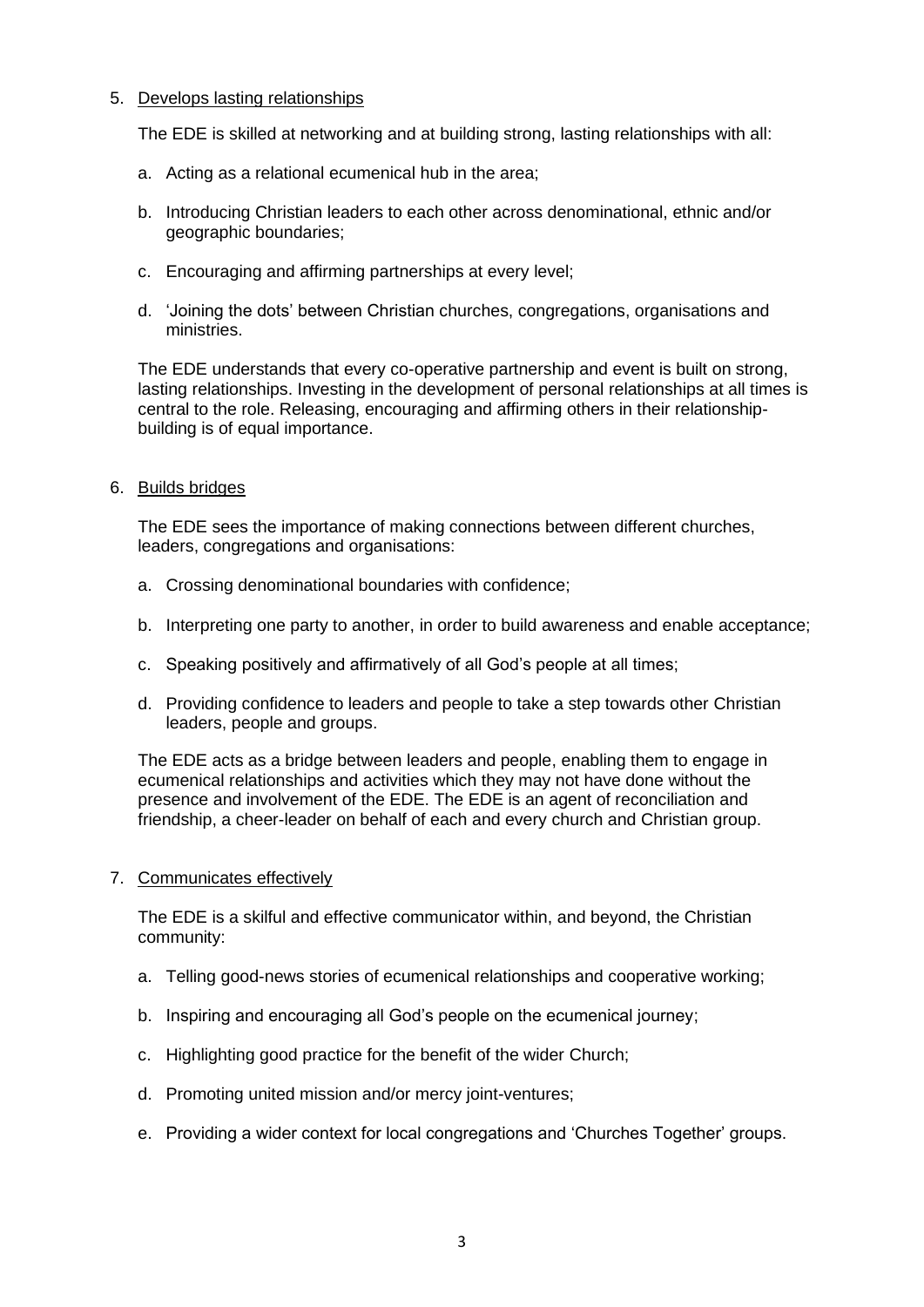#### 5. Develops lasting relationships

The EDE is skilled at networking and at building strong, lasting relationships with all:

- a. Acting as a relational ecumenical hub in the area;
- b. Introducing Christian leaders to each other across denominational, ethnic and/or geographic boundaries;
- c. Encouraging and affirming partnerships at every level;
- d. 'Joining the dots' between Christian churches, congregations, organisations and ministries.

The EDE understands that every co-operative partnership and event is built on strong, lasting relationships. Investing in the development of personal relationships at all times is central to the role. Releasing, encouraging and affirming others in their relationshipbuilding is of equal importance.

#### 6. Builds bridges

The EDE sees the importance of making connections between different churches, leaders, congregations and organisations:

- a. Crossing denominational boundaries with confidence;
- b. Interpreting one party to another, in order to build awareness and enable acceptance;
- c. Speaking positively and affirmatively of all God's people at all times;
- d. Providing confidence to leaders and people to take a step towards other Christian leaders, people and groups.

The EDE acts as a bridge between leaders and people, enabling them to engage in ecumenical relationships and activities which they may not have done without the presence and involvement of the EDE. The EDE is an agent of reconciliation and friendship, a cheer-leader on behalf of each and every church and Christian group.

#### 7. Communicates effectively

The EDE is a skilful and effective communicator within, and beyond, the Christian community:

- a. Telling good-news stories of ecumenical relationships and cooperative working;
- b. Inspiring and encouraging all God's people on the ecumenical journey;
- c. Highlighting good practice for the benefit of the wider Church;
- d. Promoting united mission and/or mercy joint-ventures;
- e. Providing a wider context for local congregations and 'Churches Together' groups.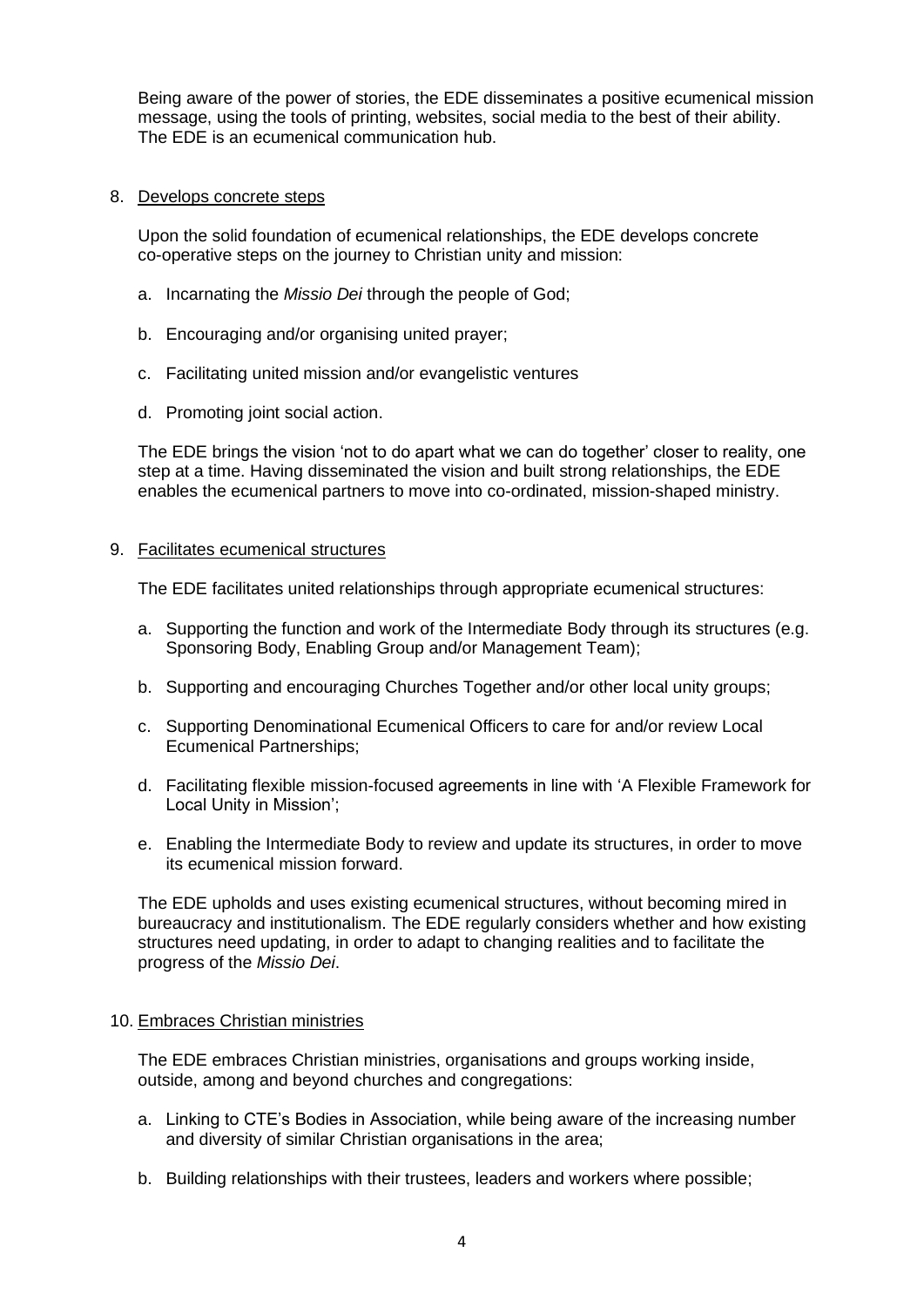Being aware of the power of stories, the EDE disseminates a positive ecumenical mission message, using the tools of printing, websites, social media to the best of their ability. The EDE is an ecumenical communication hub.

#### 8. Develops concrete steps

Upon the solid foundation of ecumenical relationships, the EDE develops concrete co-operative steps on the journey to Christian unity and mission:

- a. Incarnating the *Missio Dei* through the people of God;
- b. Encouraging and/or organising united prayer;
- c. Facilitating united mission and/or evangelistic ventures
- d. Promoting joint social action.

The EDE brings the vision 'not to do apart what we can do together' closer to reality, one step at a time. Having disseminated the vision and built strong relationships, the EDE enables the ecumenical partners to move into co-ordinated, mission-shaped ministry.

#### 9. Facilitates ecumenical structures

The EDE facilitates united relationships through appropriate ecumenical structures:

- a. Supporting the function and work of the Intermediate Body through its structures (e.g. Sponsoring Body, Enabling Group and/or Management Team);
- b. Supporting and encouraging Churches Together and/or other local unity groups;
- c. Supporting Denominational Ecumenical Officers to care for and/or review Local Ecumenical Partnerships;
- d. Facilitating flexible mission-focused agreements in line with 'A Flexible Framework for Local Unity in Mission';
- e. Enabling the Intermediate Body to review and update its structures, in order to move its ecumenical mission forward.

The EDE upholds and uses existing ecumenical structures, without becoming mired in bureaucracy and institutionalism. The EDE regularly considers whether and how existing structures need updating, in order to adapt to changing realities and to facilitate the progress of the *Missio Dei*.

#### 10. Embraces Christian ministries

The EDE embraces Christian ministries, organisations and groups working inside, outside, among and beyond churches and congregations:

- a. Linking to CTE's Bodies in Association, while being aware of the increasing number and diversity of similar Christian organisations in the area;
- b. Building relationships with their trustees, leaders and workers where possible;